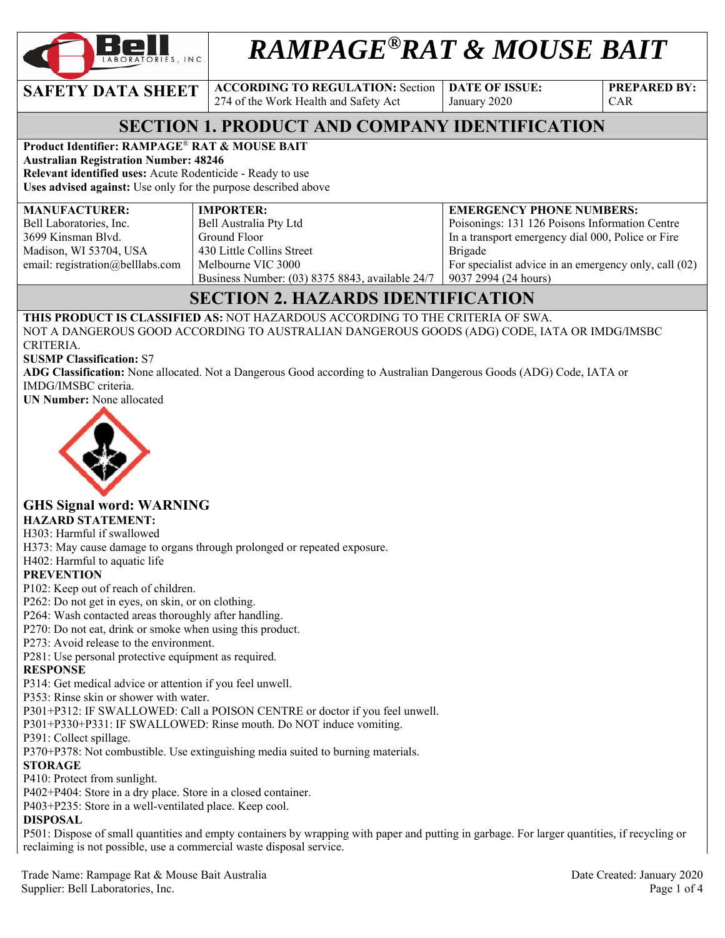

# *RAMPAGE®RAT & MOUSE BAIT*

**SAFETY DATA SHEET ACCORDING TO REGULATION: Section** 

274 of the Work Health and Safety Act

**DATE OF ISSUE:**  January 2020

**PREPARED BY:**  CAR

# **SECTION 1. PRODUCT AND COMPANY IDENTIFICATION**

#### **Product Identifier: RAMPAGE**® **RAT & MOUSE BAIT**

**Australian Registration Number: 48246 Relevant identified uses:** Acute Rodenticide - Ready to use

**Uses advised against:** Use only for the purpose described above

| <b>MANUFACTURER:</b>             | <b>IMPORTER:</b>                                | <b>EMERGENCY PHONE NUMBERS:</b>                       |
|----------------------------------|-------------------------------------------------|-------------------------------------------------------|
| Bell Laboratories, Inc.          | Bell Australia Pty Ltd                          | Poisonings: 131 126 Poisons Information Centre        |
| 3699 Kinsman Blvd.               | Ground Floor                                    | In a transport emergency dial 000, Police or Fire     |
| Madison, WI 53704, USA           | 430 Little Collins Street                       | Brigade                                               |
| email: registration@belllabs.com | Melbourne VIC 3000                              | For specialist advice in an emergency only, call (02) |
|                                  | Business Number: (03) 8375 8843, available 24/7 | 90372994(24 hours)                                    |

# **SECTION 2. HAZARDS IDENTIFICATION**

**THIS PRODUCT IS CLASSIFIED AS:** NOT HAZARDOUS ACCORDING TO THE CRITERIA OF SWA. NOT A DANGEROUS GOOD ACCORDING TO AUSTRALIAN DANGEROUS GOODS (ADG) CODE, IATA OR IMDG/IMSBC CRITERIA.

#### **SUSMP Classification:** S7

**ADG Classification:** None allocated. Not a Dangerous Good according to Australian Dangerous Goods (ADG) Code, IATA or IMDG/IMSBC criteria.

**UN Number:** None allocated



# **GHS Signal word: WARNING**

#### **HAZARD STATEMENT:**

H303: Harmful if swallowed

H373: May cause damage to organs through prolonged or repeated exposure.

H402: Harmful to aquatic life

#### **PREVENTION**

P102: Keep out of reach of children.

P262: Do not get in eyes, on skin, or on clothing.

P264: Wash contacted areas thoroughly after handling.

P270: Do not eat, drink or smoke when using this product.

P273: Avoid release to the environment.

P281: Use personal protective equipment as required.

#### **RESPONSE**

P314: Get medical advice or attention if you feel unwell.

P353: Rinse skin or shower with water.

P301+P312: IF SWALLOWED: Call a POISON CENTRE or doctor if you feel unwell.

P301+P330+P331: IF SWALLOWED: Rinse mouth. Do NOT induce vomiting.

P391: Collect spillage.

P370+P378: Not combustible. Use extinguishing media suited to burning materials.

#### **STORAGE**

P410: Protect from sunlight.

P402+P404: Store in a dry place. Store in a closed container.

P403+P235: Store in a well-ventilated place. Keep cool.

#### **DISPOSAL**

P501: Dispose of small quantities and empty containers by wrapping with paper and putting in garbage. For larger quantities, if recycling or reclaiming is not possible, use a commercial waste disposal service.

Trade Name: Rampage Rat & Mouse Bait Australia Date Created: January 2020 Supplier: Bell Laboratories, Inc. Page 1 of 4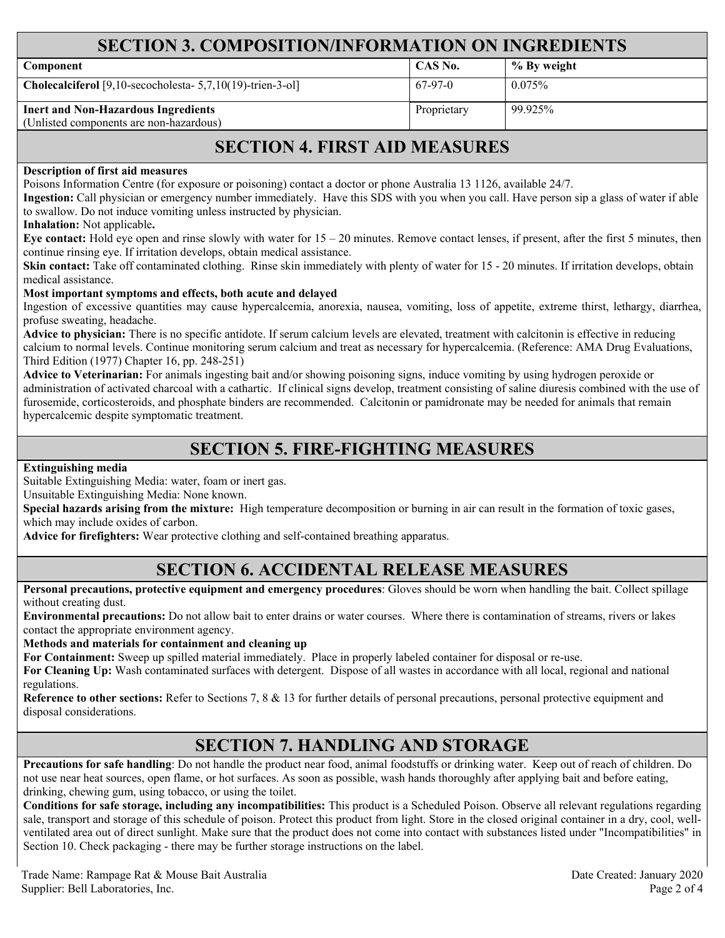## **SECTION 3. COMPOSITION/INFORMATION ON INGREDIENTS**

| Component                                                                             | CAS No.     | % By weight |
|---------------------------------------------------------------------------------------|-------------|-------------|
| Cholecalciferol [9,10-secocholesta- 5,7,10(19)-trien-3-ol]                            | $67-97-0$   | 0.075%      |
| <b>Inert and Non-Hazardous Ingredients</b><br>(Unlisted components are non-hazardous) | Proprietary | $99.925\%$  |

## **SECTION 4. FIRST AID MEASURES**

#### **Description of first aid measures**

Poisons Information Centre (for exposure or poisoning) contact a doctor or phone Australia 13 1126, available 24/7.

**Ingestion:** Call physician or emergency number immediately. Have this SDS with you when you call. Have person sip a glass of water if able to swallow. Do not induce vomiting unless instructed by physician.

**Inhalation:** Not applicable**.** 

**Eye contact:** Hold eye open and rinse slowly with water for 15 – 20 minutes. Remove contact lenses, if present, after the first 5 minutes, then continue rinsing eye. If irritation develops, obtain medical assistance.

Skin contact: Take off contaminated clothing. Rinse skin immediately with plenty of water for 15 - 20 minutes. If irritation develops, obtain medical assistance.

#### **Most important symptoms and effects, both acute and delayed**

Ingestion of excessive quantities may cause hypercalcemia, anorexia, nausea, vomiting, loss of appetite, extreme thirst, lethargy, diarrhea, profuse sweating, headache.

**Advice to physician:** There is no specific antidote. If serum calcium levels are elevated, treatment with calcitonin is effective in reducing calcium to normal levels. Continue monitoring serum calcium and treat as necessary for hypercalcemia. (Reference: AMA Drug Evaluations, Third Edition (1977) Chapter 16, pp. 248-251)

**Advice to Veterinarian:** For animals ingesting bait and/or showing poisoning signs, induce vomiting by using hydrogen peroxide or administration of activated charcoal with a cathartic. If clinical signs develop, treatment consisting of saline diuresis combined with the use of furosemide, corticosteroids, and phosphate binders are recommended. Calcitonin or pamidronate may be needed for animals that remain hypercalcemic despite symptomatic treatment.

## **SECTION 5. FIRE-FIGHTING MEASURES**

**Extinguishing media**

Suitable Extinguishing Media: water, foam or inert gas.

Unsuitable Extinguishing Media: None known.

**Special hazards arising from the mixture:** High temperature decomposition or burning in air can result in the formation of toxic gases, which may include oxides of carbon.

**Advice for firefighters:** Wear protective clothing and self-contained breathing apparatus.

### **SECTION 6. ACCIDENTAL RELEASE MEASURES**

**Personal precautions, protective equipment and emergency procedures**: Gloves should be worn when handling the bait. Collect spillage without creating dust.

**Environmental precautions:** Do not allow bait to enter drains or water courses. Where there is contamination of streams, rivers or lakes contact the appropriate environment agency.

**Methods and materials for containment and cleaning up**

**For Containment:** Sweep up spilled material immediately. Place in properly labeled container for disposal or re-use.

**For Cleaning Up:** Wash contaminated surfaces with detergent. Dispose of all wastes in accordance with all local, regional and national regulations.

**Reference to other sections:** Refer to Sections 7, 8 & 13 for further details of personal precautions, personal protective equipment and disposal considerations.

## **SECTION 7. HANDLING AND STORAGE**

**Precautions for safe handling**: Do not handle the product near food, animal foodstuffs or drinking water. Keep out of reach of children. Do not use near heat sources, open flame, or hot surfaces. As soon as possible, wash hands thoroughly after applying bait and before eating, drinking, chewing gum, using tobacco, or using the toilet.

**Conditions for safe storage, including any incompatibilities:** This product is a Scheduled Poison. Observe all relevant regulations regarding sale, transport and storage of this schedule of poison. Protect this product from light. Store in the closed original container in a dry, cool, wellventilated area out of direct sunlight. Make sure that the product does not come into contact with substances listed under "Incompatibilities" in Section 10. Check packaging - there may be further storage instructions on the label.

Trade Name: Rampage Rat & Mouse Bait Australia and the Created: January 2020 Supplier: Bell Laboratories, Inc. 2004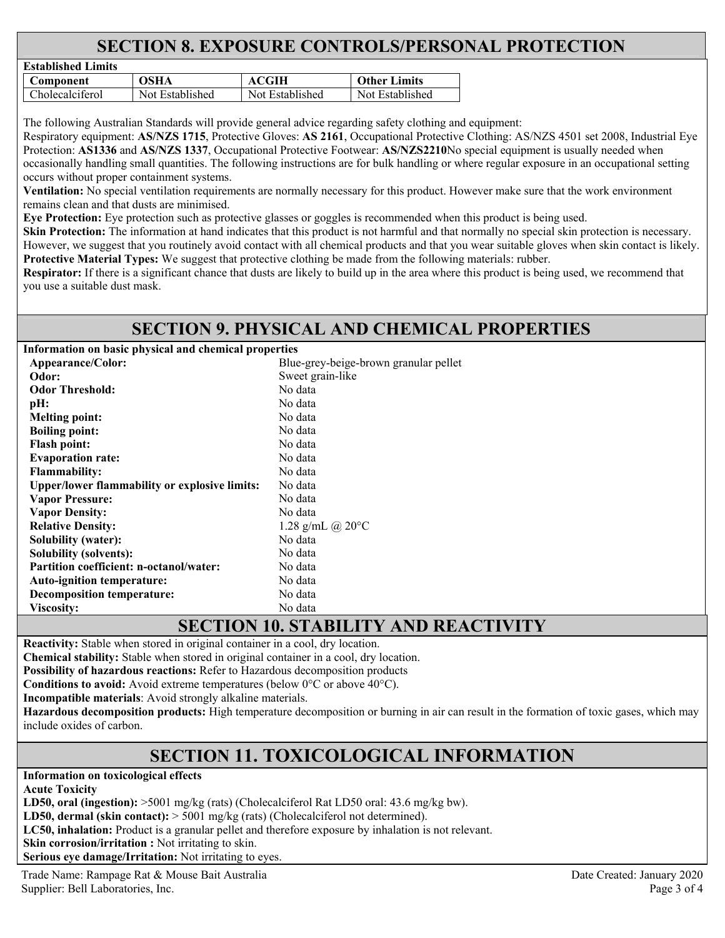# **SECTION 8. EXPOSURE CONTROLS/PERSONAL PROTECTION**

| Established Limits |                 |                 |                     |
|--------------------|-----------------|-----------------|---------------------|
| Component          | OSHA            | ACGIH           | <b>Other Limits</b> |
| $C$ holecalciferol | Not Established | Not Established | Not Established     |

The following Australian Standards will provide general advice regarding safety clothing and equipment:

Respiratory equipment: **AS/NZS 1715**, Protective Gloves: **AS 2161**, Occupational Protective Clothing: AS/NZS 4501 set 2008, Industrial Eye Protection: **AS1336** and **AS/NZS 1337**, Occupational Protective Footwear: **AS/NZS2210**No special equipment is usually needed when occasionally handling small quantities. The following instructions are for bulk handling or where regular exposure in an occupational setting occurs without proper containment systems.

**Ventilation:** No special ventilation requirements are normally necessary for this product. However make sure that the work environment remains clean and that dusts are minimised.

**Eye Protection:** Eye protection such as protective glasses or goggles is recommended when this product is being used.

**Skin Protection:** The information at hand indicates that this product is not harmful and that normally no special skin protection is necessary. However, we suggest that you routinely avoid contact with all chemical products and that you wear suitable gloves when skin contact is likely. **Protective Material Types:** We suggest that protective clothing be made from the following materials: rubber.

**Respirator:** If there is a significant chance that dusts are likely to build up in the area where this product is being used, we recommend that you use a suitable dust mask.

## **SECTION 9. PHYSICAL AND CHEMICAL PROPERTIES**

**Information on basic physical and chemical properties** 

**Established Limits** 

| Appearance/Color:                                    | Blue-grey-beige-brown granular pellet                                                                                                                                                                                                                                                                                         |
|------------------------------------------------------|-------------------------------------------------------------------------------------------------------------------------------------------------------------------------------------------------------------------------------------------------------------------------------------------------------------------------------|
| Odor:                                                | Sweet grain-like                                                                                                                                                                                                                                                                                                              |
| <b>Odor Threshold:</b>                               | No data                                                                                                                                                                                                                                                                                                                       |
| pH:                                                  | No data                                                                                                                                                                                                                                                                                                                       |
| <b>Melting point:</b>                                | No data                                                                                                                                                                                                                                                                                                                       |
| <b>Boiling point:</b>                                | No data                                                                                                                                                                                                                                                                                                                       |
| <b>Flash point:</b>                                  | No data                                                                                                                                                                                                                                                                                                                       |
| <b>Evaporation rate:</b>                             | No data                                                                                                                                                                                                                                                                                                                       |
| <b>Flammability:</b>                                 | No data                                                                                                                                                                                                                                                                                                                       |
| <b>Upper/lower flammability or explosive limits:</b> | No data                                                                                                                                                                                                                                                                                                                       |
| <b>Vapor Pressure:</b>                               | No data                                                                                                                                                                                                                                                                                                                       |
| <b>Vapor Density:</b>                                | No data                                                                                                                                                                                                                                                                                                                       |
| <b>Relative Density:</b>                             | 1.28 g/mL @ $20^{\circ}$ C                                                                                                                                                                                                                                                                                                    |
| <b>Solubility (water):</b>                           | No data                                                                                                                                                                                                                                                                                                                       |
| <b>Solubility (solvents):</b>                        | No data                                                                                                                                                                                                                                                                                                                       |
| <b>Partition coefficient: n-octanol/water:</b>       | No data                                                                                                                                                                                                                                                                                                                       |
| <b>Auto-ignition temperature:</b>                    | No data                                                                                                                                                                                                                                                                                                                       |
| Decomposition temperature:                           | No data                                                                                                                                                                                                                                                                                                                       |
| Viscosity:                                           | No data                                                                                                                                                                                                                                                                                                                       |
|                                                      | $\alpha$ of $\alpha$ $\alpha$ and $\alpha$ and $\alpha$ integrated the $\alpha$ and $\alpha$ and $\alpha$ and $\alpha$ and $\alpha$ and $\alpha$ and $\alpha$ and $\alpha$ and $\alpha$ and $\alpha$ and $\alpha$ and $\alpha$ and $\alpha$ and $\alpha$ and $\alpha$ and $\alpha$ and $\alpha$ and $\alpha$ and $\alpha$ and |

# **SECTION 10. STABILITY AND REACTIVITY**

**Reactivity:** Stable when stored in original container in a cool, dry location.

**Chemical stability:** Stable when stored in original container in a cool, dry location.

**Possibility of hazardous reactions:** Refer to Hazardous decomposition products

**Conditions to avoid:** Avoid extreme temperatures (below 0°C or above 40°C).

**Incompatible materials**: Avoid strongly alkaline materials.

**Hazardous decomposition products:** High temperature decomposition or burning in air can result in the formation of toxic gases, which may include oxides of carbon.

# **SECTION 11. TOXICOLOGICAL INFORMATION**

**Information on toxicological effects** 

**Acute Toxicity** 

LD50, oral (ingestion):  $>5001$  mg/kg (rats) (Cholecalciferol Rat LD50 oral: 43.6 mg/kg bw).

**LD50, dermal (skin contact):** > 5001 mg/kg (rats) (Cholecalciferol not determined).

**LC50, inhalation:** Product is a granular pellet and therefore exposure by inhalation is not relevant.

**Skin corrosion/irritation :** Not irritating to skin.

**Serious eye damage/Irritation:** Not irritating to eyes.

Trade Name: Rampage Rat & Mouse Bait Australia Date Created: January 2020 Supplier: Bell Laboratories, Inc. Page 3 of 4